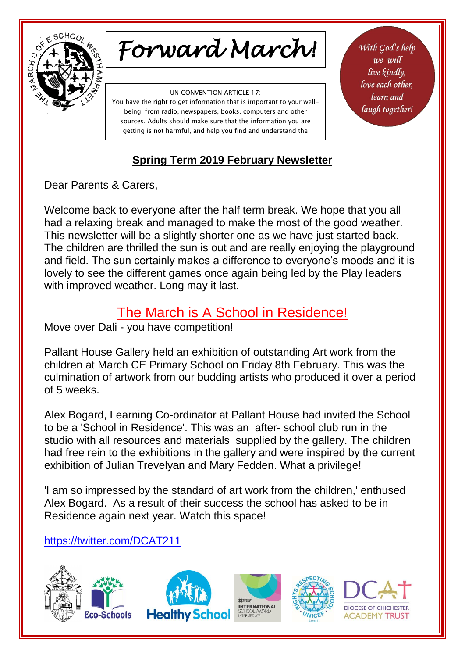

# *Forward March!*

UN CONVENTION ARTICLE 17:

You have the right to get information that is important to your wellbeing, from radio, newspapers, books, computers and other sources. Adults should make sure that the information you are getting is not harmful, and help you find and understand the

information you need.

With God's help we will live kindly, love each other. learn and laugh together!

### **Spring Term 2019 February Newsletter**

Dear Parents & Carers,

Welcome back to everyone after the half term break. We hope that you all had a relaxing break and managed to make the most of the good weather. This newsletter will be a slightly shorter one as we have just started back. The children are thrilled the sun is out and are really enjoying the playground and field. The sun certainly makes a difference to everyone's moods and it is lovely to see the different games once again being led by the Play leaders with improved weather. Long may it last.

## The March is A School in Residence!

Move over Dali - you have competition!

Pallant House Gallery held an exhibition of outstanding Art work from the children at March CE Primary School on Friday 8th February. This was the culmination of artwork from our budding artists who produced it over a period of 5 weeks.

Alex Bogard, Learning Co-ordinator at Pallant House had invited the School to be a 'School in Residence'. This was an after- school club run in the studio with all resources and materials supplied by the gallery. The children had free rein to the exhibitions in the gallery and were inspired by the current exhibition of Julian Trevelyan and Mary Fedden. What a privilege!

'I am so impressed by the standard of art work from the children,' enthused Alex Bogard. As a result of their success the school has asked to be in Residence again next year. Watch this space!

### <https://twitter.com/DCAT211>

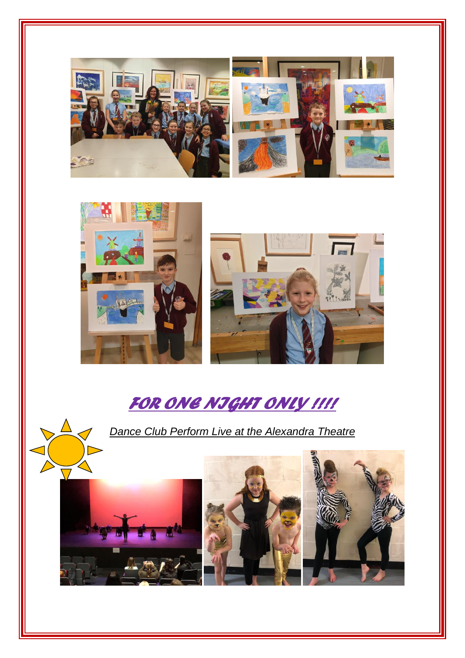



İ



# *FOR ONE NIGHT ONLY !!!!*

*Dance Club Perform Live at the Alexandra Theatre*

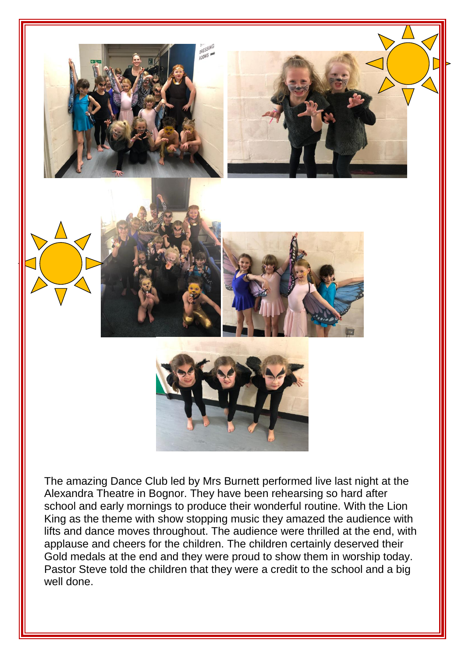

The amazing Dance Club led by Mrs Burnett performed live last night at the Alexandra Theatre in Bognor. They have been rehearsing so hard after school and early mornings to produce their wonderful routine. With the Lion King as the theme with show stopping music they amazed the audience with lifts and dance moves throughout. The audience were thrilled at the end, with applause and cheers for the children. The children certainly deserved their Gold medals at the end and they were proud to show them in worship today. Pastor Steve told the children that they were a credit to the school and a big well done.

İ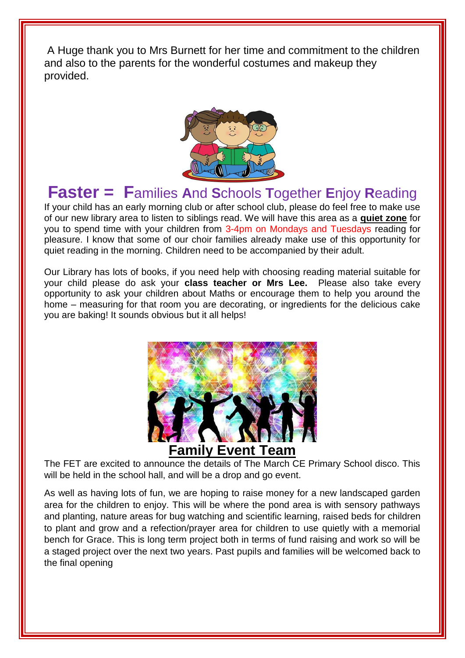A Huge thank you to Mrs Burnett for her time and commitment to the children and also to the parents for the wonderful costumes and makeup they provided.



# **Faster = F**amilies **A**nd **S**chools **T**ogether **E**njoy **R**eading

If your child has an early morning club or after school club, please do feel free to make use of our new library area to listen to siblings read. We will have this area as a **quiet zone** for you to spend time with your children from 3-4pm on Mondays and Tuesdays reading for pleasure. I know that some of our choir families already make use of this opportunity for quiet reading in the morning. Children need to be accompanied by their adult.

Our Library has lots of books, if you need help with choosing reading material suitable for your child please do ask your **class teacher or Mrs Lee.** Please also take every opportunity to ask your children about Maths or encourage them to help you around the home – measuring for that room you are decorating, or ingredients for the delicious cake you are baking! It sounds obvious but it all helps!



The FET are excited to announce the details of The March CE Primary School disco. This will be held in the school hall, and will be a drop and go event.

As well as having lots of fun, we are hoping to raise money for a new landscaped garden area for the children to enjoy. This will be where the pond area is with sensory pathways and planting, nature areas for bug watching and scientific learning, raised beds for children to plant and grow and a refection/prayer area for children to use quietly with a memorial bench for Grace. This is long term project both in terms of fund raising and work so will be a staged project over the next two years. Past pupils and families will be welcomed back to the final opening

İ